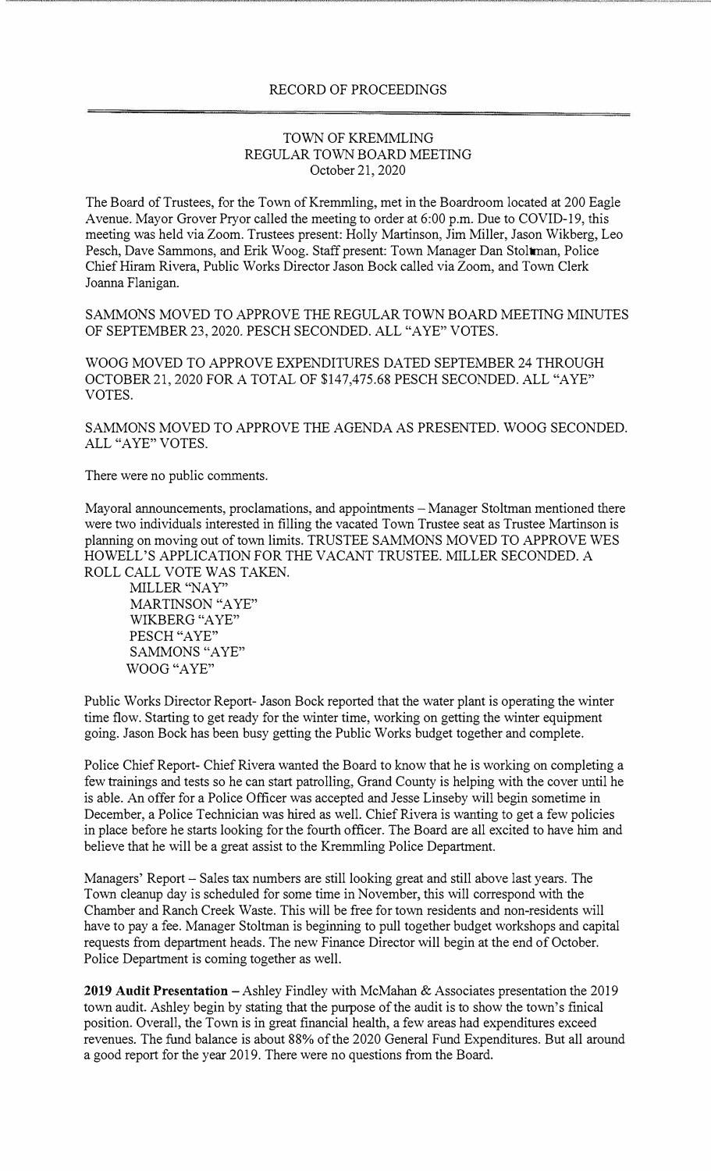## TOWN OF KREMMLING REGULAR TOWN BOARD MEETING October 21, 2020

The Board of Trustees, for the Town of Kremmling, met in the Boardroom located at 200 Eagle Avenue. Mayor Grover Pryor called the meeting to order at 6:00 p.m. Due to COVID-19, this meeting was held via Zoom. Trustees present: Holly Martinson, Jim Miller, Jason Wikberg, Leo Pesch, Dave Sammons, and Erik Woog. Staff present: Town Manager Dan Stoltman, Police Chief Hiram Rivera, Public Works Director Jason Bock called via Zoom, and Town Clerk Joanna Flanigan.

SAMMONS MOVED TO APPROVE THE REGULAR TOWN BOARD MEETING MINUTES OF SEPTEMBER 23, 2020. PESCH SECONDED. ALL "A YE" VOTES.

WOOG MOVED TO APPROVE EXPENDITURES DATED SEPTEMBER 24 THROUGH OCTOBER 21, 2020 FOR A TOTAL OF \$147,475.68 PESCH SECONDED. ALL "A YE" VOTES.

SAMMONS MOVED TO APPROVE THE AGENDA AS PRESENTED. WOOG SECONDED. ALL "AYE" VOTES.

There were no public comments.

Mayoral announcements, proclamations, and appointments - Manager Stoltman mentioned there were two individuals interested in filling the vacated Town Trustee seat as Trustee Martinson is planning on moving out of town limits. TRUSTEE SAMMONS MOVED TO APPROVE WES HOWELL'S APPLICATION FOR THE VACANT TRUSTEE. MILLER SECONDED. A ROLL CALL VOTE WAS TAKEN.

MILLER "NAY" MARTINSON "A YE" WIKBERG "A YE" PESCH "AYE" SAMMONS "AYE" WOOG "A YE"

Public Works Director Report- Jason Bock reported that the water plant is operating the winter time flow. Starting to get ready for the winter time, working on getting the winter equipment going. Jason Bock has been busy getting the Public Works budget together and complete.

Police Chief Report- Chief Rivera wanted the Board to know that he is working on completing a few trainings and tests so he can start patrolling, Grand County is helping with the cover until he is able. An offer for a Police Officer was accepted and Jesse Linseby will begin sometime in December, a Police Technician was hired as well. Chief Rivera is wanting to get a few policies in place before he starts looking for the fourth officer. The Board are all excited to have him and believe that he will be a great assist to the Kremmling Police Department.

Managers' Report – Sales tax numbers are still looking great and still above last years. The Town cleanup day is scheduled for some time in November, this will correspond with the Chamber and Ranch Creek Waste. This will be free for town residents and non-residents will have to pay a fee. Manager Stoltman is beginning to pull together budget workshops and capital requests from department heads. The new Finance Director will begin at the end of October. Police Department is coming together as well.

**2019 Audit Presentation** - Ashley Findley with McMahan & Associates presentation the 2019 town audit. Ashley begin by stating that the purpose of the audit is to show the town's finical position. Overall, the Town is in great financial health, a few areas had expenditures exceed revenues. The fund balance is about 88% of the 2020 General Fund Expenditures. But all around a good report for the year 2019. There were no questions from the Board.